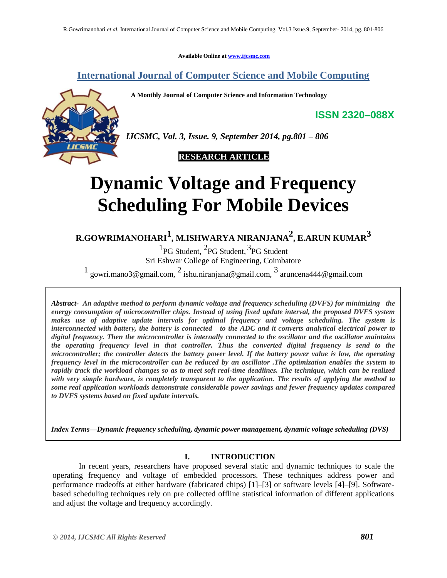**Available Online at www.ijcsmc.com**

**International Journal of Computer Science and Mobile Computing**

 **A Monthly Journal of Computer Science and Information Technology**



*IJCSMC, Vol. 3, Issue. 9, September 2014, pg.801 – 806*

# **RESEARCH ARTICLE**

# **Dynamic Voltage and Frequency Scheduling For Mobile Devices**

**R.GOWRIMANOHARI<sup>1</sup> , M.ISHWARYA NIRANJANA2 , E.ARUN KUMAR3**

<sup>1</sup>PG Student, <sup>2</sup>PG Student, <sup>3</sup>PG Student Sri Eshwar College of Engineering, Coimbatore

1 gowri.mano3@gmail.com,  $^2$  ishu.niranjana@gmail.com,  $^3$  aruncena444@gmail.com

 *Abstract- An adaptive method to perform dynamic voltage and frequency scheduling (DVFS) for minimizing the energy consumption of microcontroller chips. Instead of using fixed update interval, the proposed DVFS system makes use of adaptive update intervals for optimal frequency and voltage scheduling. The system is interconnected with battery, the battery is connected to the ADC and it converts analytical electrical power to digital frequency. Then the microcontroller is internally connected to the oscillator and the oscillator maintains the operating frequency level in that controller. Thus the converted digital frequency is send to the microcontroller; the controller detects the battery power level. If the battery power value is low, the operating frequency level in the microcontroller can be reduced by an oscillator .The optimization enables the system to rapidly track the workload changes so as to meet soft real-time deadlines. The technique, which can be realized with very simple hardware, is completely transparent to the application. The results of applying the method to some real application workloads demonstrate considerable power savings and fewer frequency updates compared to DVFS systems based on fixed update intervals.*

*Index Terms—Dynamic frequency scheduling, dynamic power management, dynamic voltage scheduling (DVS)*

## **I. INTRODUCTION**

In recent years, researchers have proposed several static and dynamic techniques to scale the operating frequency and voltage of embedded processors. These techniques address power and performance tradeoffs at either hardware (fabricated chips) [1]–[3] or software levels [4]–[9]. Softwarebased scheduling techniques rely on pre collected offline statistical information of different applications and adjust the voltage and frequency accordingly.

**ISSN 2320–088X**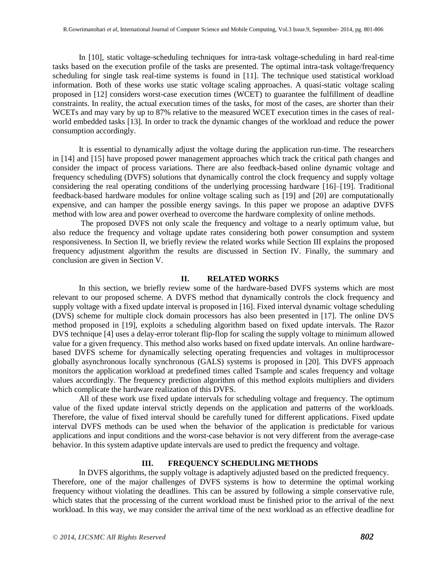In [10], static voltage-scheduling techniques for intra-task voltage-scheduling in hard real-time tasks based on the execution profile of the tasks are presented. The optimal intra-task voltage/frequency scheduling for single task real-time systems is found in [11]. The technique used statistical workload information. Both of these works use static voltage scaling approaches. A quasi-static voltage scaling proposed in [12] considers worst-case execution times (WCET) to guarantee the fulfillment of deadline constraints. In reality, the actual execution times of the tasks, for most of the cases, are shorter than their WCETs and may vary by up to 87% relative to the measured WCET execution times in the cases of realworld embedded tasks [13]. In order to track the dynamic changes of the workload and reduce the power consumption accordingly.

It is essential to dynamically adjust the voltage during the application run-time. The researchers in [14] and [15] have proposed power management approaches which track the critical path changes and consider the impact of process variations. There are also feedback-based online dynamic voltage and frequency scheduling (DVFS) solutions that dynamically control the clock frequency and supply voltage considering the real operating conditions of the underlying processing hardware [16]–[19]. Traditional feedback-based hardware modules for online voltage scaling such as [19] and [20] are computationally expensive, and can hamper the possible energy savings. In this paper we propose an adaptive DVFS method with low area and power overhead to overcome the hardware complexity of online methods.

The proposed DVFS not only scale the frequency and voltage to a nearly optimum value, but also reduce the frequency and voltage update rates considering both power consumption and system responsiveness. In Section II, we briefly review the related works while Section III explains the proposed frequency adjustment algorithm the results are discussed in Section IV. Finally, the summary and conclusion are given in Section V.

### **II. RELATED WORKS**

In this section, we briefly review some of the hardware-based DVFS systems which are most relevant to our proposed scheme. A DVFS method that dynamically controls the clock frequency and supply voltage with a fixed update interval is proposed in [16]. Fixed interval dynamic voltage scheduling (DVS) scheme for multiple clock domain processors has also been presented in [17]. The online DVS method proposed in [19], exploits a scheduling algorithm based on fixed update intervals. The Razor DVS technique [4] uses a delay-error tolerant flip-flop for scaling the supply voltage to minimum allowed value for a given frequency. This method also works based on fixed update intervals. An online hardwarebased DVFS scheme for dynamically selecting operating frequencies and voltages in multiprocessor globally asynchronous locally synchronous (GALS) systems is proposed in [20]. This DVFS approach monitors the application workload at predefined times called Tsample and scales frequency and voltage values accordingly. The frequency prediction algorithm of this method exploits multipliers and dividers which complicate the hardware realization of this DVFS.

All of these work use fixed update intervals for scheduling voltage and frequency. The optimum value of the fixed update interval strictly depends on the application and patterns of the workloads. Therefore, the value of fixed interval should be carefully tuned for different applications. Fixed update interval DVFS methods can be used when the behavior of the application is predictable for various applications and input conditions and the worst-case behavior is not very different from the average-case behavior. In this system adaptive update intervals are used to predict the frequency and voltage.

# **III. FREQUENCY SCHEDULING METHODS**

In DVFS algorithms, the supply voltage is adaptively adjusted based on the predicted frequency. Therefore, one of the major challenges of DVFS systems is how to determine the optimal working frequency without violating the deadlines. This can be assured by following a simple conservative rule, which states that the processing of the current workload must be finished prior to the arrival of the next workload. In this way, we may consider the arrival time of the next workload as an effective deadline for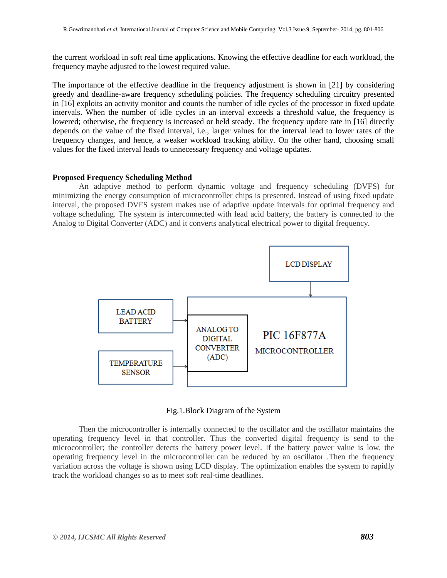the current workload in soft real time applications. Knowing the effective deadline for each workload, the frequency maybe adjusted to the lowest required value.

The importance of the effective deadline in the frequency adjustment is shown in [21] by considering greedy and deadline-aware frequency scheduling policies. The frequency scheduling circuitry presented in [16] exploits an activity monitor and counts the number of idle cycles of the processor in fixed update intervals. When the number of idle cycles in an interval exceeds a threshold value, the frequency is lowered; otherwise, the frequency is increased or held steady. The frequency update rate in [16] directly depends on the value of the fixed interval, i.e., larger values for the interval lead to lower rates of the frequency changes, and hence, a weaker workload tracking ability. On the other hand, choosing small values for the fixed interval leads to unnecessary frequency and voltage updates.

#### **Proposed Frequency Scheduling Method**

An adaptive method to perform dynamic voltage and frequency scheduling (DVFS) for minimizing the energy consumption of microcontroller chips is presented. Instead of using fixed update interval, the proposed DVFS system makes use of adaptive update intervals for optimal frequency and voltage scheduling. The system is interconnected with lead acid battery, the battery is connected to the Analog to Digital Converter (ADC) and it converts analytical electrical power to digital frequency.



Fig.1.Block Diagram of the System

Then the microcontroller is internally connected to the oscillator and the oscillator maintains the operating frequency level in that controller. Thus the converted digital frequency is send to the microcontroller; the controller detects the battery power level. If the battery power value is low, the operating frequency level in the microcontroller can be reduced by an oscillator .Then the frequency variation across the voltage is shown using LCD display. The optimization enables the system to rapidly track the workload changes so as to meet soft real-time deadlines.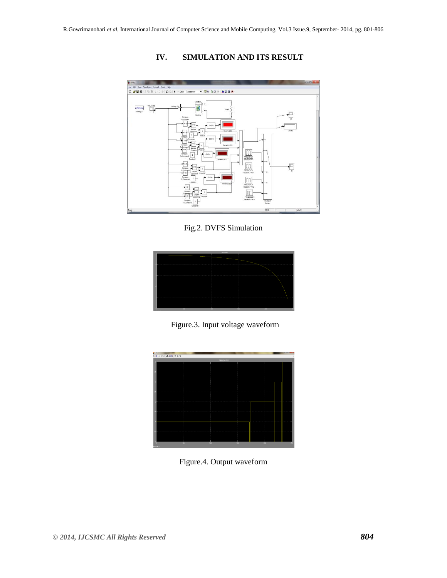

# **IV. SIMULATION AND ITS RESULT**

Fig.2. DVFS Simulation



Figure.3. Input voltage waveform



Figure.4. Output waveform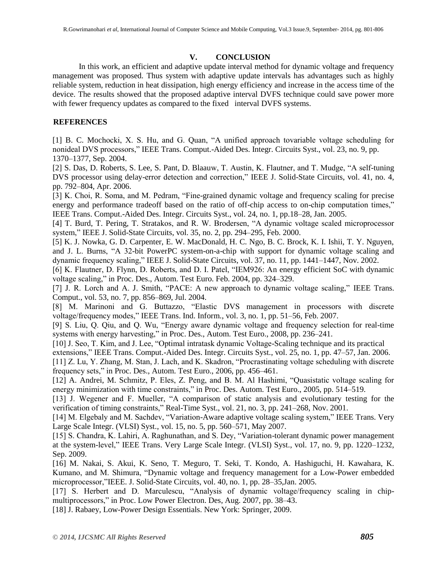# **V. CONCLUSION**

In this work, an efficient and adaptive update interval method for dynamic voltage and frequency management was proposed. Thus system with adaptive update intervals has advantages such as highly reliable system, reduction in heat dissipation, high energy efficiency and increase in the access time of the device. The results showed that the proposed adaptive interval DVFS technique could save power more with fewer frequency updates as compared to the fixed interval DVFS systems.

# **REFERENCES**

[1] B. C. Mochocki, X. S. Hu, and G. Quan, "A unified approach tovariable voltage scheduling for nonideal DVS processors," IEEE Trans. Comput.-Aided Des. Integr. Circuits Syst., vol. 23, no. 9, pp. 1370–1377, Sep. 2004.

[2] S. Das, D. Roberts, S. Lee, S. Pant, D. Blaauw, T. Austin, K. Flautner, and T. Mudge, "A self-tuning DVS processor using delay-error detection and correction," IEEE J. Solid-State Circuits, vol. 41, no. 4, pp. 792–804, Apr. 2006.

[3] K. Choi, R. Soma, and M. Pedram, "Fine-grained dynamic voltage and frequency scaling for precise energy and performance tradeoff based on the ratio of off-chip access to on-chip computation times," IEEE Trans. Comput.-Aided Des. Integr. Circuits Syst., vol. 24, no. 1, pp.18–28, Jan. 2005.

[4] T. Burd, T. Pering, T. Stratakos, and R. W. Brodersen, "A dynamic voltage scaled microprocessor system," IEEE J. Solid-State Circuits, vol. 35, no. 2, pp. 294–295, Feb. 2000.

[5] K. J. Nowka, G. D. Carpenter, E. W. MacDonald, H. C. Ngo, B. C. Brock, K. I. Ishii, T. Y. Nguyen, and J. L. Burns, "A 32-bit PowerPC system-on-a-chip with support for dynamic voltage scaling and dynamic frequency scaling," IEEE J. Solid-State Circuits, vol. 37, no. 11, pp. 1441–1447, Nov. 2002.

[6] K. Flautner, D. Flynn, D. Roberts, and D. I. Patel, "IEM926: An energy efficient SoC with dynamic voltage scaling," in Proc. Des., Autom. Test Euro. Feb. 2004, pp. 324–329.

[7] J. R. Lorch and A. J. Smith, "PACE: A new approach to dynamic voltage scaling," IEEE Trans. Comput., vol. 53, no. 7, pp. 856–869, Jul. 2004.

[8] M. Marinoni and G. Buttazzo, "Elastic DVS management in processors with discrete voltage/frequency modes," IEEE Trans. Ind. Inform., vol. 3, no. 1, pp. 51–56, Feb. 2007.

[9] S. Liu, Q. Qiu, and Q. Wu, "Energy aware dynamic voltage and frequency selection for real-time systems with energy harvesting," in Proc. Des., Autom. Test Euro., 2008, pp. 236–241.

[10] J. Seo, T. Kim, and J. Lee, "Optimal intratask dynamic Voltage-Scaling technique and its practical

extensions," IEEE Trans. Comput.-Aided Des. Integr. Circuits Syst., vol. 25, no. 1, pp. 47–57, Jan. 2006.

[11] Z. Lu, Y. Zhang, M. Stan, J. Lach, and K. Skadron, "Procrastinating voltage scheduling with discrete frequency sets," in Proc. Des., Autom. Test Euro., 2006, pp. 456–461.

[12] A. Andrei, M. Schmitz, P. Eles, Z. Peng, and B. M. Al Hashimi, "Quasistatic voltage scaling for energy minimization with time constraints," in Proc. Des. Autom. Test Euro., 2005, pp. 514–519.

[13] J. Wegener and F. Mueller, "A comparison of static analysis and evolutionary testing for the verification of timing constraints," Real-Time Syst., vol. 21, no. 3, pp. 241–268, Nov. 2001.

[14] M. Elgebaly and M. Sachdev, "Variation-Aware adaptive voltage scaling system," IEEE Trans. Very Large Scale Integr. (VLSI) Syst., vol. 15, no. 5, pp. 560–571, May 2007.

[15] S. Chandra, K. Lahiri, A. Raghunathan, and S. Dey, "Variation-tolerant dynamic power management at the system-level," IEEE Trans. Very Large Scale Integr. (VLSI) Syst., vol. 17, no. 9, pp. 1220–1232, Sep. 2009.

[16] M. Nakai, S. Akui, K. Seno, T. Meguro, T. Seki, T. Kondo, A. Hashiguchi, H. Kawahara, K. Kumano, and M. Shimura, "Dynamic voltage and frequency management for a Low-Power embedded microprocessor,"IEEE. J. Solid-State Circuits, vol. 40, no. 1, pp. 28–35,Jan. 2005.

[17] S. Herbert and D. Marculescu, "Analysis of dynamic voltage/frequency scaling in chipmultiprocessors," in Proc. Low Power Electron. Des, Aug. 2007, pp. 38–43.

[18] J. Rabaey, Low-Power Design Essentials. New York: Springer, 2009.